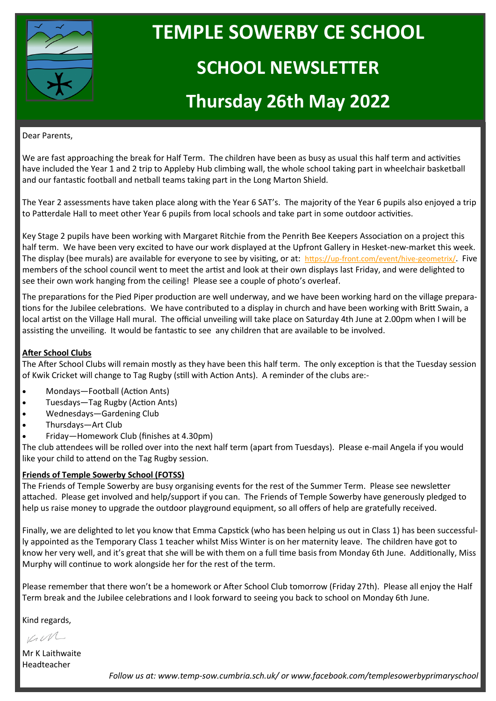

# **TEMPLE SOWERBY CE SCHOOL SCHOOL NEWSLETTER**

## **Thursday 26th May 2022**

#### Dear Parents,

We are fast approaching the break for Half Term. The children have been as busy as usual this half term and activities have included the Year 1 and 2 trip to Appleby Hub climbing wall, the whole school taking part in wheelchair basketball and our fantastic football and netball teams taking part in the Long Marton Shield.

The Year 2 assessments have taken place along with the Year 6 SAT's. The majority of the Year 6 pupils also enjoyed a trip to Patterdale Hall to meet other Year 6 pupils from local schools and take part in some outdoor activities.

Key Stage 2 pupils have been working with Margaret Ritchie from the Penrith Bee Keepers Association on a project this half term. We have been very excited to have our work displayed at the Upfront Gallery in Hesket-new-market this week. The display (bee murals) are available for everyone to see by visiting, or at: https://up-[front.com/event/hive](https://up-front.com/event/hive-geometrix/)-geometrix/. Five members of the school council went to meet the artist and look at their own displays last Friday, and were delighted to see their own work hanging from the ceiling! Please see a couple of photo's overleaf.

The preparations for the Pied Piper production are well underway, and we have been working hard on the village preparations for the Jubilee celebrations. We have contributed to a display in church and have been working with Britt Swain, a local artist on the Village Hall mural. The official unveiling will take place on Saturday 4th June at 2.00pm when I will be assisting the unveiling. It would be fantastic to see any children that are available to be involved.

### **After School Clubs**

The After School Clubs will remain mostly as they have been this half term. The only exception is that the Tuesday session of Kwik Cricket will change to Tag Rugby (still with Action Ants). A reminder of the clubs are:-

- Mondays—Football (Action Ants)
- Tuesdays—Tag Rugby (Action Ants)
- Wednesdays—Gardening Club
- Thursdays—Art Club
- Friday—Homework Club (finishes at 4.30pm)

The club attendees will be rolled over into the next half term (apart from Tuesdays). Please e-mail Angela if you would like your child to attend on the Tag Rugby session.

#### **Friends of Temple Sowerby School (FOTSS)**

The Friends of Temple Sowerby are busy organising events for the rest of the Summer Term. Please see newsletter attached. Please get involved and help/support if you can. The Friends of Temple Sowerby have generously pledged to help us raise money to upgrade the outdoor playground equipment, so all offers of help are gratefully received.

Finally, we are delighted to let you know that Emma Capstick (who has been helping us out in Class 1) has been successfully appointed as the Temporary Class 1 teacher whilst Miss Winter is on her maternity leave. The children have got to know her very well, and it's great that she will be with them on a full time basis from Monday 6th June. Additionally, Miss Murphy will continue to work alongside her for the rest of the term.

Please remember that there won't be a homework or After School Club tomorrow (Friday 27th). Please all enjoy the Half Term break and the Jubilee celebrations and I look forward to seeing you back to school on Monday 6th June.

Kind regards,

KIM

Mr K Laithwaite Headteacher

*Follow us at: www.temp-sow.cumbria.sch.uk/ or www.facebook.com/templesowerbyprimaryschool*